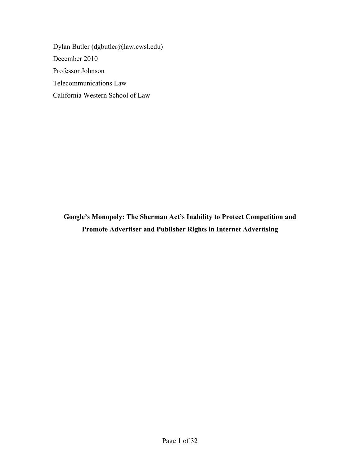Dylan Butler (dgbutler@law.cwsl.edu) December 2010 Professor Johnson Telecommunications Law California Western School of Law

**Google's Monopoly: The Sherman Act's Inability to Protect Competition and Promote Advertiser and Publisher Rights in Internet Advertising**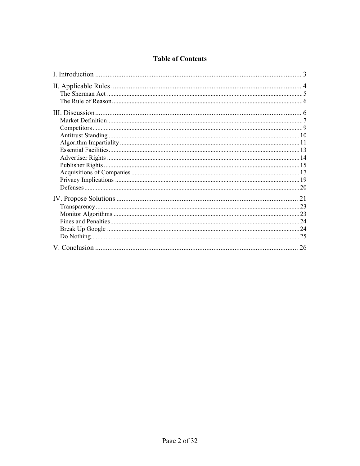# **Table of Contents**

| 26 |
|----|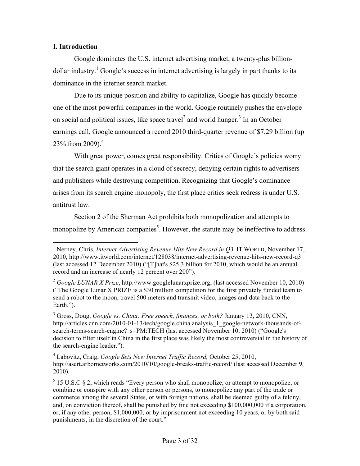## **I. Introduction**

Google dominates the U.S. internet advertising market, a twenty-plus billiondollar industry.<sup>1</sup> Google's success in internet advertising is largely in part thanks to its dominance in the internet search market.

Due to its unique position and ability to capitalize, Google has quickly become one of the most powerful companies in the world. Google routinely pushes the envelope on social and political issues, like space travel<sup>2</sup> and world hunger.<sup>3</sup> In an October earnings call, Google announced a record 2010 third-quarter revenue of \$7.29 billion (up 23% from 2009).<sup>4</sup>

With great power, comes great responsibility. Critics of Google's policies worry that the search giant operates in a cloud of secrecy, denying certain rights to advertisers and publishers while destroying competition. Recognizing that Google's dominance arises from its search engine monopoly, the first place critics seek redress is under U.S. antitrust law.

Section 2 of the Sherman Act prohibits both monopolization and attempts to monopolize by American companies<sup>5</sup>. However, the statute may be ineffective to address

<sup>&</sup>lt;sup>1</sup> Nerney, Chris, *Internet Advertising Revenue Hits New Record in Q3*, IT WORLD, November 17, 2010, http://www.itworld.com/internet/128038/internet-advertising-revenue-hits-new-record-q3 (last accessed 12 December 2010) ("[T]hat's \$25.3 billion for 2010, which would be an annual record and an increase of nearly 12 percent over 200").

<sup>2</sup> *Google LUNAR X Prize*, http://www.googlelunarxprize.org, (last accessed November 10, 2010) ("The Google Lunar X PRIZE is a \$30 million competition for the first privately funded team to send a robot to the moon, travel 500 meters and transmit video, images and data back to the Earth.").

<sup>&</sup>lt;sup>3</sup> Gross, Doug, *Google vs. China: Free speech, finances, or both?* January 13, 2010, CNN, http://articles.cnn.com/2010-01-13/tech/google.china.analysis\_1\_google-network-thousands-ofsearch-terms-search-engine? s=PM:TECH (last accessed November 10, 2010) ("Google's decision to filter itself in China in the first place was likely the most controversial in the history of the search-engine leader.").

<sup>4</sup> Labovitz, Craig, *Google Sets New Internet Traffic Record,* October 25, 2010, http://asert.arbornetworks.com/2010/10/google-breaks-traffic-record/ (last accessed December 9, 2010).

 $5$  15 U.S.C § 2, which reads "Every person who shall monopolize, or attempt to monopolize, or combine or conspire with any other person or persons, to monopolize any part of the trade or commerce among the several States, or with foreign nations, shall be deemed guilty of a felony, and, on conviction thereof, shall be punished by fine not exceeding \$100,000,000 if a corporation, or, if any other person, \$1,000,000, or by imprisonment not exceeding 10 years, or by both said punishments, in the discretion of the court."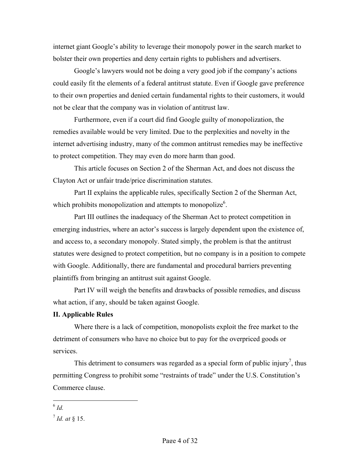internet giant Google's ability to leverage their monopoly power in the search market to bolster their own properties and deny certain rights to publishers and advertisers.

Google's lawyers would not be doing a very good job if the company's actions could easily fit the elements of a federal antitrust statute. Even if Google gave preference to their own properties and denied certain fundamental rights to their customers, it would not be clear that the company was in violation of antitrust law.

Furthermore, even if a court did find Google guilty of monopolization, the remedies available would be very limited. Due to the perplexities and novelty in the internet advertising industry, many of the common antitrust remedies may be ineffective to protect competition. They may even do more harm than good.

This article focuses on Section 2 of the Sherman Act, and does not discuss the Clayton Act or unfair trade/price discrimination statutes.

Part II explains the applicable rules, specifically Section 2 of the Sherman Act, which prohibits monopolization and attempts to monopolize $6$ .

Part III outlines the inadequacy of the Sherman Act to protect competition in emerging industries, where an actor's success is largely dependent upon the existence of, and access to, a secondary monopoly. Stated simply, the problem is that the antitrust statutes were designed to protect competition, but no company is in a position to compete with Google. Additionally, there are fundamental and procedural barriers preventing plaintiffs from bringing an antitrust suit against Google.

Part IV will weigh the benefits and drawbacks of possible remedies, and discuss what action, if any, should be taken against Google.

## **II. Applicable Rules**

Where there is a lack of competition, monopolists exploit the free market to the detriment of consumers who have no choice but to pay for the overpriced goods or services.

This detriment to consumers was regarded as a special form of public injury<sup>7</sup>, thus permitting Congress to prohibit some "restraints of trade" under the U.S. Constitution's Commerce clause.

<sup>6</sup> *Id.*

<sup>7</sup> *Id. at* § 15.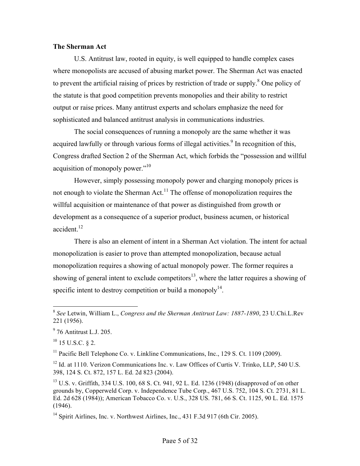## **The Sherman Act**

U.S. Antitrust law, rooted in equity, is well equipped to handle complex cases where monopolists are accused of abusing market power. The Sherman Act was enacted to prevent the artificial raising of prices by restriction of trade or supply.<sup>8</sup> One policy of the statute is that good competition prevents monopolies and their ability to restrict output or raise prices. Many antitrust experts and scholars emphasize the need for sophisticated and balanced antitrust analysis in communications industries.

The social consequences of running a monopoly are the same whether it was acquired lawfully or through various forms of illegal activities.<sup>9</sup> In recognition of this, Congress drafted Section 2 of the Sherman Act, which forbids the "possession and willful acquisition of monopoly power."<sup>10</sup>

However, simply possessing monopoly power and charging monopoly prices is not enough to violate the Sherman Act.<sup>11</sup> The offense of monopolization requires the willful acquisition or maintenance of that power as distinguished from growth or development as a consequence of a superior product, business acumen, or historical accident $12$ 

There is also an element of intent in a Sherman Act violation. The intent for actual monopolization is easier to prove than attempted monopolization, because actual monopolization requires a showing of actual monopoly power. The former requires a showing of general intent to exclude competitors<sup>13</sup>, where the latter requires a showing of specific intent to destroy competition or build a monopoly<sup>14</sup>.

 $11$  Pacific Bell Telephone Co. v. Linkline Communications, Inc., 129 S. Ct. 1109 (2009).

<sup>8</sup> *See* Letwin, William L., *Congress and the Sherman Antitrust Law: 1887-1890*, 23 U.Chi.L.Rev 221 (1956).

 $9$  76 Antitrust L.J. 205.

 $^{10}$  15 U.S.C. § 2.

 $12$  Id. at 1110. Verizon Communications Inc. v. Law Offices of Curtis V. Trinko, LLP, 540 U.S. 398, 124 S. Ct. 872, 157 L. Ed. 2d 823 (2004).

 $^{13}$  U.S. v. Griffith, 334 U.S. 100, 68 S. Ct. 941, 92 L. Ed. 1236 (1948) (disapproved of on other grounds by, Copperweld Corp. v. Independence Tube Corp., 467 U.S. 752, 104 S. Ct. 2731, 81 L. Ed. 2d 628 (1984)); American Tobacco Co. v. U.S., 328 US. 781, 66 S. Ct. 1125, 90 L. Ed. 1575 (1946).

<sup>&</sup>lt;sup>14</sup> Spirit Airlines, Inc. v. Northwest Airlines, Inc.,  $431$  F.3d 917 (6th Cir. 2005).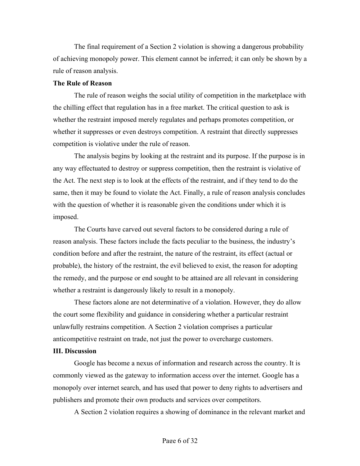The final requirement of a Section 2 violation is showing a dangerous probability of achieving monopoly power. This element cannot be inferred; it can only be shown by a rule of reason analysis.

#### **The Rule of Reason**

The rule of reason weighs the social utility of competition in the marketplace with the chilling effect that regulation has in a free market. The critical question to ask is whether the restraint imposed merely regulates and perhaps promotes competition, or whether it suppresses or even destroys competition. A restraint that directly suppresses competition is violative under the rule of reason.

The analysis begins by looking at the restraint and its purpose. If the purpose is in any way effectuated to destroy or suppress competition, then the restraint is violative of the Act. The next step is to look at the effects of the restraint, and if they tend to do the same, then it may be found to violate the Act. Finally, a rule of reason analysis concludes with the question of whether it is reasonable given the conditions under which it is imposed.

The Courts have carved out several factors to be considered during a rule of reason analysis. These factors include the facts peculiar to the business, the industry's condition before and after the restraint, the nature of the restraint, its effect (actual or probable), the history of the restraint, the evil believed to exist, the reason for adopting the remedy, and the purpose or end sought to be attained are all relevant in considering whether a restraint is dangerously likely to result in a monopoly.

These factors alone are not determinative of a violation. However, they do allow the court some flexibility and guidance in considering whether a particular restraint unlawfully restrains competition. A Section 2 violation comprises a particular anticompetitive restraint on trade, not just the power to overcharge customers.

#### **III. Discussion**

Google has become a nexus of information and research across the country. It is commonly viewed as the gateway to information access over the internet. Google has a monopoly over internet search, and has used that power to deny rights to advertisers and publishers and promote their own products and services over competitors.

A Section 2 violation requires a showing of dominance in the relevant market and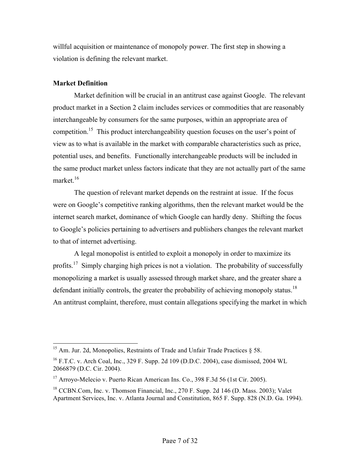willful acquisition or maintenance of monopoly power. The first step in showing a violation is defining the relevant market.

## **Market Definition**

Market definition will be crucial in an antitrust case against Google. The relevant product market in a Section 2 claim includes services or commodities that are reasonably interchangeable by consumers for the same purposes, within an appropriate area of competition.<sup>15</sup> This product interchangeability question focuses on the user's point of view as to what is available in the market with comparable characteristics such as price, potential uses, and benefits. Functionally interchangeable products will be included in the same product market unless factors indicate that they are not actually part of the same market. 16

The question of relevant market depends on the restraint at issue. If the focus were on Google's competitive ranking algorithms, then the relevant market would be the internet search market, dominance of which Google can hardly deny. Shifting the focus to Google's policies pertaining to advertisers and publishers changes the relevant market to that of internet advertising.

A legal monopolist is entitled to exploit a monopoly in order to maximize its profits.<sup>17</sup> Simply charging high prices is not a violation. The probability of successfully monopolizing a market is usually assessed through market share, and the greater share a defendant initially controls, the greater the probability of achieving monopoly status.<sup>18</sup> An antitrust complaint, therefore, must contain allegations specifying the market in which

<sup>&</sup>lt;sup>15</sup> Am. Jur. 2d, Monopolies, Restraints of Trade and Unfair Trade Practices  $\S$  58.

 $^{16}$  F.T.C. v. Arch Coal, Inc., 329 F. Supp. 2d 109 (D.D.C. 2004), case dismissed, 2004 WL 2066879 (D.C. Cir. 2004).

 $17$  Arroyo-Melecio v. Puerto Rican American Ins. Co., 398 F.3d 56 (1st Cir. 2005).

 $18$  CCBN.Com, Inc. v. Thomson Financial, Inc., 270 F. Supp. 2d 146 (D. Mass. 2003); Valet Apartment Services, Inc. v. Atlanta Journal and Constitution, 865 F. Supp. 828 (N.D. Ga. 1994).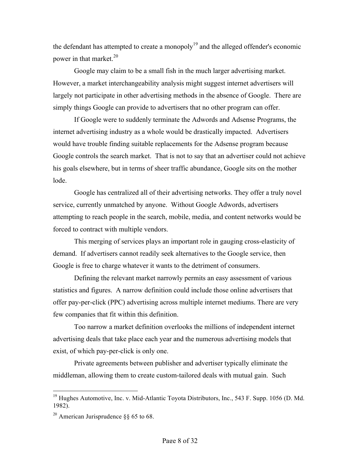the defendant has attempted to create a monopoly<sup>19</sup> and the alleged offender's economic power in that market.<sup>20</sup>

Google may claim to be a small fish in the much larger advertising market. However, a market interchangeability analysis might suggest internet advertisers will largely not participate in other advertising methods in the absence of Google. There are simply things Google can provide to advertisers that no other program can offer.

If Google were to suddenly terminate the Adwords and Adsense Programs, the internet advertising industry as a whole would be drastically impacted. Advertisers would have trouble finding suitable replacements for the Adsense program because Google controls the search market. That is not to say that an advertiser could not achieve his goals elsewhere, but in terms of sheer traffic abundance, Google sits on the mother lode.

Google has centralized all of their advertising networks. They offer a truly novel service, currently unmatched by anyone. Without Google Adwords, advertisers attempting to reach people in the search, mobile, media, and content networks would be forced to contract with multiple vendors.

This merging of services plays an important role in gauging cross-elasticity of demand. If advertisers cannot readily seek alternatives to the Google service, then Google is free to charge whatever it wants to the detriment of consumers.

Defining the relevant market narrowly permits an easy assessment of various statistics and figures. A narrow definition could include those online advertisers that offer pay-per-click (PPC) advertising across multiple internet mediums. There are very few companies that fit within this definition.

Too narrow a market definition overlooks the millions of independent internet advertising deals that take place each year and the numerous advertising models that exist, of which pay-per-click is only one.

Private agreements between publisher and advertiser typically eliminate the middleman, allowing them to create custom-tailored deals with mutual gain. Such

 $19$  Hughes Automotive, Inc. v. Mid-Atlantic Toyota Distributors, Inc., 543 F. Supp. 1056 (D. Md.) 1982).

<sup>&</sup>lt;sup>20</sup> American Jurisprudence  $8865$  to 68.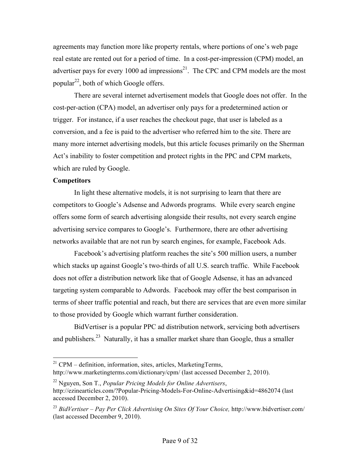agreements may function more like property rentals, where portions of one's web page real estate are rented out for a period of time. In a cost-per-impression (CPM) model, an advertiser pays for every 1000 ad impressions<sup>21</sup>. The CPC and CPM models are the most popular<sup>22</sup>, both of which Google offers.

There are several internet advertisement models that Google does not offer. In the cost-per-action (CPA) model, an advertiser only pays for a predetermined action or trigger. For instance, if a user reaches the checkout page, that user is labeled as a conversion, and a fee is paid to the advertiser who referred him to the site. There are many more internet advertising models, but this article focuses primarily on the Sherman Act's inability to foster competition and protect rights in the PPC and CPM markets, which are ruled by Google.

#### **Competitors**

In light these alternative models, it is not surprising to learn that there are competitors to Google's Adsense and Adwords programs. While every search engine offers some form of search advertising alongside their results, not every search engine advertising service compares to Google's. Furthermore, there are other advertising networks available that are not run by search engines, for example, Facebook Ads.

Facebook's advertising platform reaches the site's 500 million users, a number which stacks up against Google's two-thirds of all U.S. search traffic. While Facebook does not offer a distribution network like that of Google Adsense, it has an advanced targeting system comparable to Adwords. Facebook may offer the best comparison in terms of sheer traffic potential and reach, but there are services that are even more similar to those provided by Google which warrant further consideration.

BidVertiser is a popular PPC ad distribution network, servicing both advertisers and publishers.<sup>23</sup> Naturally, it has a smaller market share than Google, thus a smaller

 $^{21}$  CPM – definition, information, sites, articles, MarketingTerms, http://www.marketingterms.com/dictionary/cpm/ (last accessed December 2, 2010).

<sup>22</sup> Nguyen, Son T., *Popular Pricing Models for Online Advertisers*, http://ezinearticles.com/?Popular-Pricing-Models-For-Online-Advertising&id=4862074 (last accessed December 2, 2010).

<sup>&</sup>lt;sup>23</sup> BidVertiser – Pay Per Click Advertising On Sites Of Your Choice, http://www.bidvertiser.com/ (last accessed December 9, 2010).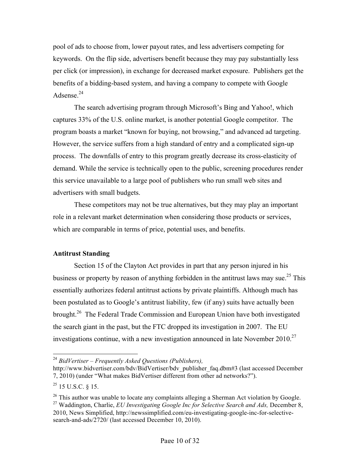pool of ads to choose from, lower payout rates, and less advertisers competing for keywords. On the flip side, advertisers benefit because they may pay substantially less per click (or impression), in exchange for decreased market exposure. Publishers get the benefits of a bidding-based system, and having a company to compete with Google Adsense. 24

The search advertising program through Microsoft's Bing and Yahoo!, which captures 33% of the U.S. online market, is another potential Google competitor. The program boasts a market "known for buying, not browsing," and advanced ad targeting. However, the service suffers from a high standard of entry and a complicated sign-up process. The downfalls of entry to this program greatly decrease its cross-elasticity of demand. While the service is technically open to the public, screening procedures render this service unavailable to a large pool of publishers who run small web sites and advertisers with small budgets.

These competitors may not be true alternatives, but they may play an important role in a relevant market determination when considering those products or services, which are comparable in terms of price, potential uses, and benefits.

## **Antitrust Standing**

Section 15 of the Clayton Act provides in part that any person injured in his business or property by reason of anything forbidden in the antitrust laws may sue.<sup>25</sup> This essentially authorizes federal antitrust actions by private plaintiffs. Although much has been postulated as to Google's antitrust liability, few (if any) suits have actually been brought.26 The Federal Trade Commission and European Union have both investigated the search giant in the past, but the FTC dropped its investigation in 2007. The EU investigations continue, with a new investigation announced in late November 2010.<sup>27</sup>

 <sup>24</sup> *BidVertiser – Frequently Asked Questions (Publishers),* 

http://www.bidvertiser.com/bdv/BidVertiser/bdv\_publisher\_faq.dbm#3 (last accessed December 7, 2010) (under "What makes BidVertiser different from other ad networks?").

 $^{25}$  15 U.S.C.  $\&$  15.

 $26$  This author was unable to locate any complaints alleging a Sherman Act violation by Google. <sup>27</sup> Waddington, Charlie, *EU Investigating Google Inc for Selective Search and Ads*, December 8, 2010, News Simplified, http://newssimplified.com/eu-investigating-google-inc-for-selectivesearch-and-ads/2720/ (last accessed December 10, 2010).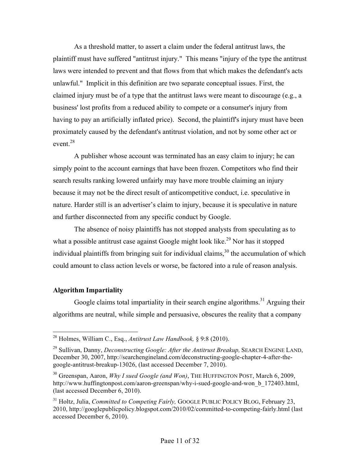As a threshold matter, to assert a claim under the federal antitrust laws, the plaintiff must have suffered "antitrust injury." This means "injury of the type the antitrust laws were intended to prevent and that flows from that which makes the defendant's acts unlawful." Implicit in this definition are two separate conceptual issues. First, the claimed injury must be of a type that the antitrust laws were meant to discourage (e.g., a business' lost profits from a reduced ability to compete or a consumer's injury from having to pay an artificially inflated price). Second, the plaintiff's injury must have been proximately caused by the defendant's antitrust violation, and not by some other act or event.<sup>28</sup>

A publisher whose account was terminated has an easy claim to injury; he can simply point to the account earnings that have been frozen. Competitors who find their search results ranking lowered unfairly may have more trouble claiming an injury because it may not be the direct result of anticompetitive conduct, i.e. speculative in nature. Harder still is an advertiser's claim to injury, because it is speculative in nature and further disconnected from any specific conduct by Google.

The absence of noisy plaintiffs has not stopped analysts from speculating as to what a possible antitrust case against Google might look like.<sup>29</sup> Nor has it stopped individual plaintiffs from bringing suit for individual claims,  $30$  the accumulation of which could amount to class action levels or worse, be factored into a rule of reason analysis.

## **Algorithm Impartiality**

Google claims total impartiality in their search engine algorithms.<sup>31</sup> Arguing their algorithms are neutral, while simple and persuasive, obscures the reality that a company

<sup>28</sup> Holmes, William C., Esq., *Antitrust Law Handbook,* § 9:8 (2010).

<sup>29</sup> Sullivan, Danny, *Deconstructing Google: After the Antitrust Breakup,* SEARCH ENGINE LAND, December 30, 2007, http://searchengineland.com/deconstructing-google-chapter-4-after-thegoogle-antitrust-breakup-13026, (last accessed December 7, 2010).

<sup>&</sup>lt;sup>30</sup> Greenspan, Aaron, *Why I sued Google (and Won)*, THE HUFFINGTON POST, March 6, 2009, http://www.huffingtonpost.com/aaron-greenspan/why-i-sued-google-and-won\_b\_172403.html, (last accessed December 6, 2010).

<sup>&</sup>lt;sup>31</sup> Holtz, Julia, *Committed to Competing Fairly*, GOOGLE PUBLIC POLICY BLOG, February 23, 2010, http://googlepublicpolicy.blogspot.com/2010/02/committed-to-competing-fairly.html (last accessed December 6, 2010).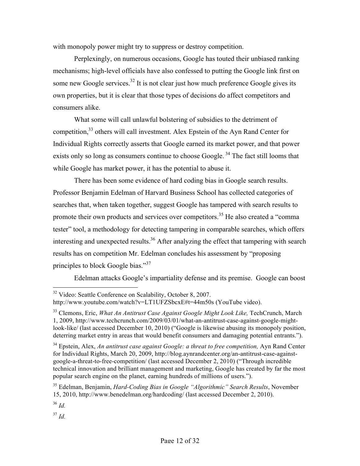with monopoly power might try to suppress or destroy competition.

Perplexingly, on numerous occasions, Google has touted their unbiased ranking mechanisms; high-level officials have also confessed to putting the Google link first on some new Google services.<sup>32</sup> It is not clear just how much preference Google gives its own properties, but it is clear that those types of decisions do affect competitors and consumers alike.

What some will call unlawful bolstering of subsidies to the detriment of competition, 33 others will call investment. Alex Epstein of the Ayn Rand Center for Individual Rights correctly asserts that Google earned its market power, and that power exists only so long as consumers continue to choose Google.<sup>34</sup> The fact still looms that while Google has market power, it has the potential to abuse it.

There has been some evidence of hard coding bias in Google search results. Professor Benjamin Edelman of Harvard Business School has collected categories of searches that, when taken together, suggest Google has tampered with search results to promote their own products and services over competitors.<sup>35</sup> He also created a "comma tester" tool, a methodology for detecting tampering in comparable searches, which offers interesting and unexpected results.<sup>36</sup> After analyzing the effect that tampering with search results has on competition Mr. Edelman concludes his assessment by "proposing principles to block Google bias."<sup>37</sup>

Edelman attacks Google's impartiality defense and its premise. Google can boost

<sup>37</sup> *Id.*

<sup>&</sup>lt;sup>32</sup> Video: Seattle Conference on Scalability, October 8, 2007.

http://www.youtube.com/watch?v=LT1UFZSbcxE#t=44m50s (YouTube video).

<sup>&</sup>lt;sup>33</sup> Clemons, Eric, *What An Antitrust Case Against Google Might Look Like*, TechCrunch, March 1, 2009, http://www.techcrunch.com/2009/03/01/what-an-antitrust-case-against-google-mightlook-like/ (last accessed December 10, 2010) ("Google is likewise abusing its monopoly position, deterring market entry in areas that would benefit consumers and damaging potential entrants.").

<sup>&</sup>lt;sup>34</sup> Epstein, Alex, An antitrust case against Google: a threat to free competition, Ayn Rand Center for Individual Rights, March 20, 2009, http://blog.aynrandcenter.org/an-antitrust-case-againstgoogle-a-threat-to-free-competition/ (last accessed December 2, 2010) ("Through incredible technical innovation and brilliant management and marketing, Google has created by far the most popular search engine on the planet, earning hundreds of millions of users.").

<sup>35</sup> Edelman, Benjamin, *Hard-Coding Bias in Google "Algorithmic" Search Results*, November 15, 2010, http://www.benedelman.org/hardcoding/ (last accessed December 2, 2010).

<sup>36</sup> *Id.*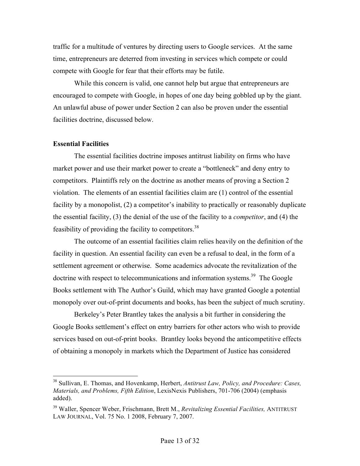traffic for a multitude of ventures by directing users to Google services. At the same time, entrepreneurs are deterred from investing in services which compete or could compete with Google for fear that their efforts may be futile.

While this concern is valid, one cannot help but argue that entrepreneurs are encouraged to compete with Google, in hopes of one day being gobbled up by the giant. An unlawful abuse of power under Section 2 can also be proven under the essential facilities doctrine, discussed below.

#### **Essential Facilities**

The essential facilities doctrine imposes antitrust liability on firms who have market power and use their market power to create a "bottleneck" and deny entry to competitors. Plaintiffs rely on the doctrine as another means of proving a Section 2 violation. The elements of an essential facilities claim are (1) control of the essential facility by a monopolist, (2) a competitor's inability to practically or reasonably duplicate the essential facility, (3) the denial of the use of the facility to a *competitor*, and (4) the feasibility of providing the facility to competitors.38

The outcome of an essential facilities claim relies heavily on the definition of the facility in question. An essential facility can even be a refusal to deal, in the form of a settlement agreement or otherwise. Some academics advocate the revitalization of the doctrine with respect to telecommunications and information systems.<sup>39</sup> The Google Books settlement with The Author's Guild, which may have granted Google a potential monopoly over out-of-print documents and books, has been the subject of much scrutiny.

Berkeley's Peter Brantley takes the analysis a bit further in considering the Google Books settlement's effect on entry barriers for other actors who wish to provide services based on out-of-print books. Brantley looks beyond the anticompetitive effects of obtaining a monopoly in markets which the Department of Justice has considered

 38 Sullivan, E. Thomas, and Hovenkamp, Herbert, *Antitrust Law, Policy, and Procedure: Cases, Materials, and Problems, Fifth Edition*, LexisNexis Publishers, 701-706 (2004) (emphasis added).

<sup>39</sup> Waller, Spencer Weber, Frischmann, Brett M., *Revitalizing Essential Facilities,* ANTITRUST LAW JOURNAL, Vol. 75 No. 1 2008, February 7, 2007.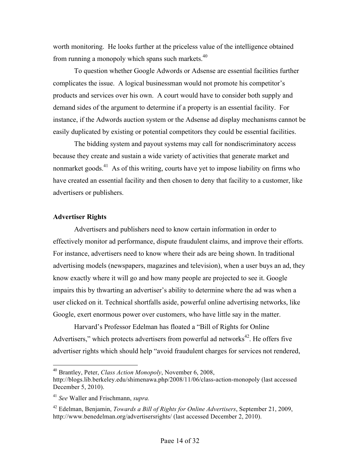worth monitoring. He looks further at the priceless value of the intelligence obtained from running a monopoly which spans such markets.<sup>40</sup>

To question whether Google Adwords or Adsense are essential facilities further complicates the issue. A logical businessman would not promote his competitor's products and services over his own. A court would have to consider both supply and demand sides of the argument to determine if a property is an essential facility. For instance, if the Adwords auction system or the Adsense ad display mechanisms cannot be easily duplicated by existing or potential competitors they could be essential facilities.

The bidding system and payout systems may call for nondiscriminatory access because they create and sustain a wide variety of activities that generate market and nonmarket goods.<sup>41</sup> As of this writing, courts have yet to impose liability on firms who have created an essential facility and then chosen to deny that facility to a customer, like advertisers or publishers.

#### **Advertiser Rights**

Advertisers and publishers need to know certain information in order to effectively monitor ad performance, dispute fraudulent claims, and improve their efforts. For instance, advertisers need to know where their ads are being shown. In traditional advertising models (newspapers, magazines and television), when a user buys an ad, they know exactly where it will go and how many people are projected to see it. Google impairs this by thwarting an advertiser's ability to determine where the ad was when a user clicked on it. Technical shortfalls aside, powerful online advertising networks, like Google, exert enormous power over customers, who have little say in the matter.

Harvard's Professor Edelman has floated a "Bill of Rights for Online Advertisers," which protects advertisers from powerful ad networks $42$ . He offers five advertiser rights which should help "avoid fraudulent charges for services not rendered,

<sup>40</sup> Brantley, Peter, *Class Action Monopoly*, November 6, 2008,

http://blogs.lib.berkeley.edu/shimenawa.php/2008/11/06/class-action-monopoly (last accessed December 5, 2010).

<sup>41</sup> *See* Waller and Frischmann, *supra.*

<sup>42</sup> Edelman, Benjamin, *Towards a Bill of Rights for Online Advertisers*, September 21, 2009, http://www.benedelman.org/advertisersrights/ (last accessed December 2, 2010).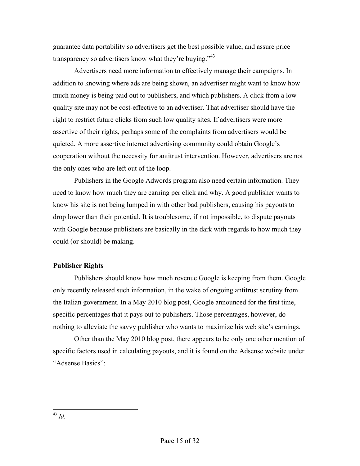guarantee data portability so advertisers get the best possible value, and assure price transparency so advertisers know what they're buying."<sup>43</sup>

Advertisers need more information to effectively manage their campaigns. In addition to knowing where ads are being shown, an advertiser might want to know how much money is being paid out to publishers, and which publishers. A click from a lowquality site may not be cost-effective to an advertiser. That advertiser should have the right to restrict future clicks from such low quality sites. If advertisers were more assertive of their rights, perhaps some of the complaints from advertisers would be quieted. A more assertive internet advertising community could obtain Google's cooperation without the necessity for antitrust intervention. However, advertisers are not the only ones who are left out of the loop.

Publishers in the Google Adwords program also need certain information. They need to know how much they are earning per click and why. A good publisher wants to know his site is not being lumped in with other bad publishers, causing his payouts to drop lower than their potential. It is troublesome, if not impossible, to dispute payouts with Google because publishers are basically in the dark with regards to how much they could (or should) be making.

#### **Publisher Rights**

Publishers should know how much revenue Google is keeping from them. Google only recently released such information, in the wake of ongoing antitrust scrutiny from the Italian government. In a May 2010 blog post, Google announced for the first time, specific percentages that it pays out to publishers. Those percentages, however, do nothing to alleviate the savvy publisher who wants to maximize his web site's earnings.

Other than the May 2010 blog post, there appears to be only one other mention of specific factors used in calculating payouts, and it is found on the Adsense website under "Adsense Basics":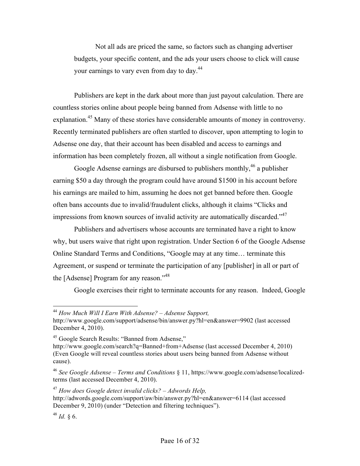Not all ads are priced the same, so factors such as changing advertiser budgets, your specific content, and the ads your users choose to click will cause your earnings to vary even from day to day.<sup>44</sup>

Publishers are kept in the dark about more than just payout calculation. There are countless stories online about people being banned from Adsense with little to no explanation.<sup>45</sup> Many of these stories have considerable amounts of money in controversy. Recently terminated publishers are often startled to discover, upon attempting to login to Adsense one day, that their account has been disabled and access to earnings and information has been completely frozen, all without a single notification from Google.

Google Adsense earnings are disbursed to publishers monthly,  $46$  a publisher earning \$50 a day through the program could have around \$1500 in his account before his earnings are mailed to him, assuming he does not get banned before then. Google often bans accounts due to invalid/fraudulent clicks, although it claims "Clicks and impressions from known sources of invalid activity are automatically discarded."<sup>47</sup>

Publishers and advertisers whose accounts are terminated have a right to know why, but users waive that right upon registration. Under Section 6 of the Google Adsense Online Standard Terms and Conditions, "Google may at any time… terminate this Agreement, or suspend or terminate the participation of any [publisher] in all or part of the [Adsense] Program for any reason."<sup>48</sup>

Google exercises their right to terminate accounts for any reason. Indeed, Google

<sup>44</sup> *How Much Will I Earn With Adsense? – Adsense Support,* 

http://www.google.com/support/adsense/bin/answer.py?hl=en&answer=9902 (last accessed December 4, 2010).

<sup>45</sup> Google Search Results: "Banned from Adsense,"

http://www.google.com/search?q=Banned+from+Adsense (last accessed December 4, 2010) (Even Google will reveal countless stories about users being banned from Adsense without cause).

<sup>46</sup> *See Google Adsense – Terms and Conditions* § 11, https://www.google.com/adsense/localizedterms (last accessed December 4, 2010).

<sup>47</sup> *How does Google detect invalid clicks? – Adwords Help,*  http://adwords.google.com/support/aw/bin/answer.py?hl=en&answer=6114 (last accessed December 9, 2010) (under "Detection and filtering techniques").

<sup>48</sup> *Id.* § 6.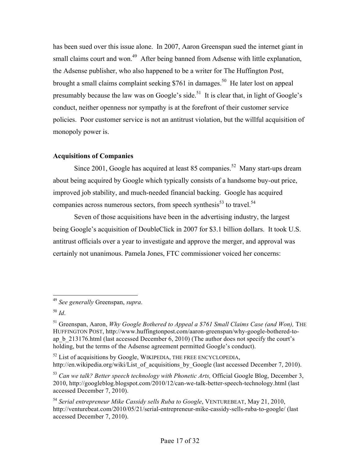has been sued over this issue alone. In 2007, Aaron Greenspan sued the internet giant in small claims court and won.<sup>49</sup> After being banned from Adsense with little explanation, the Adsense publisher, who also happened to be a writer for The Huffington Post, brought a small claims complaint seeking \$761 in damages.<sup>50</sup> He later lost on appeal presumably because the law was on Google's side.<sup>51</sup> It is clear that, in light of Google's conduct, neither openness nor sympathy is at the forefront of their customer service policies. Poor customer service is not an antitrust violation, but the willful acquisition of monopoly power is.

## **Acquisitions of Companies**

Since 2001, Google has acquired at least 85 companies.<sup>52</sup> Many start-ups dream about being acquired by Google which typically consists of a handsome buy-out price, improved job stability, and much-needed financial backing. Google has acquired companies across numerous sectors, from speech synthesis<sup>53</sup> to travel.<sup>54</sup>

Seven of those acquisitions have been in the advertising industry, the largest being Google's acquisition of DoubleClick in 2007 for \$3.1 billion dollars. It took U.S. antitrust officials over a year to investigate and approve the merger, and approval was certainly not unanimous. Pamela Jones, FTC commissioner voiced her concerns:

<sup>52</sup> List of acquisitions by Google, WIKIPEDIA, THE FREE ENCYCLOPEDIA. http://en.wikipedia.org/wiki/List\_of\_acquisitions\_by\_Google (last accessed December 7, 2010).

<sup>53</sup> *Can we talk? Better speech technology with Phonetic Arts,* Official Google Blog, December 3, 2010, http://googleblog.blogspot.com/2010/12/can-we-talk-better-speech-technology.html (last accessed December 7, 2010).

 <sup>49</sup> *See generally* Greenspan, *supra*.

<sup>50</sup> *Id*.

<sup>&</sup>lt;sup>51</sup> Greenspan, Aaron, *Why Google Bothered to Appeal a \$761 Small Claims Case (and Won)*, THE HUFFINGTON POST, http://www.huffingtonpost.com/aaron-greenspan/why-google-bothered-toap b  $213176$ .html (last accessed December 6, 2010) (The author does not specify the court's holding, but the terms of the Adsense agreement permitted Google's conduct).

<sup>54</sup> *Serial entrepreneur Mike Cassidy sells Ruba to Google*, VENTUREBEAT, May 21, 2010, http://venturebeat.com/2010/05/21/serial-entrepreneur-mike-cassidy-sells-ruba-to-google/ (last accessed December 7, 2010).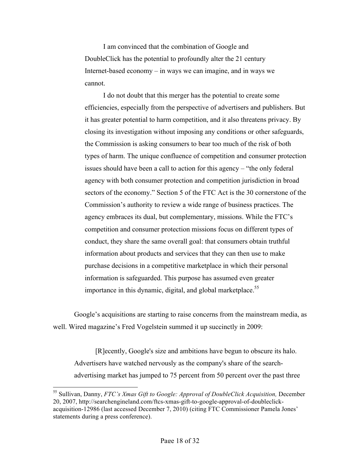I am convinced that the combination of Google and DoubleClick has the potential to profoundly alter the 21 century Internet-based economy – in ways we can imagine, and in ways we cannot.

I do not doubt that this merger has the potential to create some efficiencies, especially from the perspective of advertisers and publishers. But it has greater potential to harm competition, and it also threatens privacy. By closing its investigation without imposing any conditions or other safeguards, the Commission is asking consumers to bear too much of the risk of both types of harm. The unique confluence of competition and consumer protection issues should have been a call to action for this agency – "the only federal agency with both consumer protection and competition jurisdiction in broad sectors of the economy." Section 5 of the FTC Act is the 30 cornerstone of the Commission's authority to review a wide range of business practices. The agency embraces its dual, but complementary, missions. While the FTC's competition and consumer protection missions focus on different types of conduct, they share the same overall goal: that consumers obtain truthful information about products and services that they can then use to make purchase decisions in a competitive marketplace in which their personal information is safeguarded. This purpose has assumed even greater importance in this dynamic, digital, and global marketplace.<sup>55</sup>

Google's acquisitions are starting to raise concerns from the mainstream media, as well. Wired magazine's Fred Vogelstein summed it up succinctly in 2009:

[R]ecently, Google's size and ambitions have begun to obscure its halo. Advertisers have watched nervously as the company's share of the searchadvertising market has jumped to 75 percent from 50 percent over the past three

 55 Sullivan, Danny, *FTC's Xmas Gift to Google: Approval of DoubleClick Acquisition,* December 20, 2007, http://searchengineland.com/ftcs-xmas-gift-to-google-approval-of-doubleclickacquisition-12986 (last accessed December 7, 2010) (citing FTC Commissioner Pamela Jones' statements during a press conference).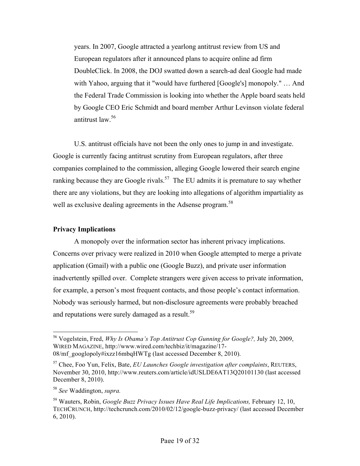years. In 2007, Google attracted a yearlong antitrust review from US and European regulators after it announced plans to acquire online ad firm DoubleClick. In 2008, the DOJ swatted down a search-ad deal Google had made with Yahoo, arguing that it "would have furthered [Google's] monopoly." … And the Federal Trade Commission is looking into whether the Apple board seats held by Google CEO Eric Schmidt and board member Arthur Levinson violate federal antitrust law.56

U.S. antitrust officials have not been the only ones to jump in and investigate. Google is currently facing antitrust scrutiny from European regulators, after three companies complained to the commission, alleging Google lowered their search engine ranking because they are Google rivals.<sup>57</sup> The EU admits it is premature to say whether there are any violations, but they are looking into allegations of algorithm impartiality as well as exclusive dealing agreements in the Adsense program.<sup>58</sup>

## **Privacy Implications**

A monopoly over the information sector has inherent privacy implications. Concerns over privacy were realized in 2010 when Google attempted to merge a private application (Gmail) with a public one (Google Buzz), and private user information inadvertently spilled over. Complete strangers were given access to private information, for example, a person's most frequent contacts, and those people's contact information. Nobody was seriously harmed, but non-disclosure agreements were probably breached and reputations were surely damaged as a result.<sup>59</sup>

<sup>56</sup> Vogelstein, Fred, *Why Is Obama's Top Antitrust Cop Gunning for Google?,* July 20, 2009, WIRED MAGAZINE, http://www.wired.com/techbiz/it/magazine/17-  $08/mf$  googlopoly#ixzz16mbqHWTg (last accessed December 8, 2010).

<sup>57</sup> Chee, Foo Yun, Felix, Bate, *EU Launches Google investigation after complaints*, REUTERS, November 30, 2010, http://www.reuters.com/article/idUSLDE6AT13Q20101130 (last accessed December 8, 2010).

<sup>58</sup> *See* Waddington, *supra.*

<sup>&</sup>lt;sup>59</sup> Wauters, Robin, *Google Buzz Privacy Issues Have Real Life Implications*, February 12, 10, TECHCRUNCH, http://techcrunch.com/2010/02/12/google-buzz-privacy/ (last accessed December 6, 2010).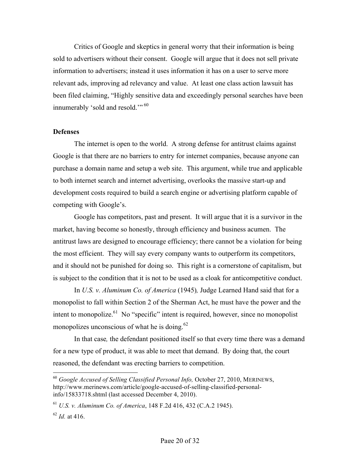Critics of Google and skeptics in general worry that their information is being sold to advertisers without their consent. Google will argue that it does not sell private information to advertisers; instead it uses information it has on a user to serve more relevant ads, improving ad relevancy and value. At least one class action lawsuit has been filed claiming, "Highly sensitive data and exceedingly personal searches have been innumerably 'sold and resold."<sup>50</sup>

#### **Defenses**

The internet is open to the world. A strong defense for antitrust claims against Google is that there are no barriers to entry for internet companies, because anyone can purchase a domain name and setup a web site. This argument, while true and applicable to both internet search and internet advertising, overlooks the massive start-up and development costs required to build a search engine or advertising platform capable of competing with Google's.

Google has competitors, past and present. It will argue that it is a survivor in the market, having become so honestly, through efficiency and business acumen. The antitrust laws are designed to encourage efficiency; there cannot be a violation for being the most efficient. They will say every company wants to outperform its competitors, and it should not be punished for doing so. This right is a cornerstone of capitalism, but is subject to the condition that it is not to be used as a cloak for anticompetitive conduct.

In *U.S. v. Aluminum Co. of America* (1945)*,* Judge Learned Hand said that for a monopolist to fall within Section 2 of the Sherman Act, he must have the power and the intent to monopolize.<sup>61</sup> No "specific" intent is required, however, since no monopolist monopolizes unconscious of what he is doing.<sup>62</sup>

In that case*,* the defendant positioned itself so that every time there was a demand for a new type of product, it was able to meet that demand. By doing that, the court reasoned, the defendant was erecting barriers to competition.

 <sup>60</sup> *Google Accused of Selling Classified Personal Info,* October 27, 2010, MERINEWS, http://www.merinews.com/article/google-accused-of-selling-classified-personalinfo/15833718.shtml (last accessed December 4, 2010).

<sup>61</sup> *U.S. v. Aluminum Co. of America*, 148 F.2d 416, 432 (C.A.2 1945).

 $62$  *Id.* at 416.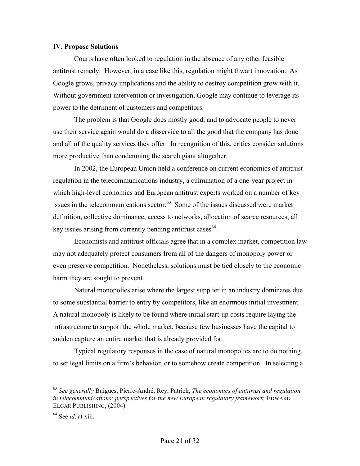#### **IV. Propose Solutions**

Courts have often looked to regulation in the absence of any other feasible antitrust remedy. However, in a case like this, regulation might thwart innovation. As Google grows, privacy implications and the ability to destroy competition grow with it. Without government intervention or investigation, Google may continue to leverage its power to the detriment of customers and competitors.

The problem is that Google does mostly good, and to advocate people to never use their service again would do a disservice to all the good that the company has done and all of the quality services they offer. In recognition of this, critics consider solutions more productive than condemning the search giant altogether.

In 2002, the European Union held a conference on current economics of antitrust regulation in the telecommunications industry, a culmination of a one-year project in which high-level economics and European antitrust experts worked on a number of key issues in the telecommunications sector. 63 Some of the issues discussed were market definition, collective dominance, access to networks, allocation of scarce resources, all key issues arising from currently pending antitrust cases  $64$ .

Economists and antitrust officials agree that in a complex market, competition law may not adequately protect consumers from all of the dangers of monopoly power or even preserve competition. Nonetheless, solutions must be tied closely to the economic harm they are sought to prevent.

Natural monopolies arise where the largest supplier in an industry dominates due to some substantial barrier to entry by competitors, like an enormous initial investment. A natural monopoly is likely to be found where initial start-up costs require laying the infrastructure to support the whole market, because few businesses have the capital to sudden capture an entire market that is already provided for.

Typical regulatory responses in the case of natural monopolies are to do nothing, to set legal limits on a firm's behavior, or to somehow create competition. In selecting a

 <sup>63</sup> *See generally* Buigues, Pierre-André, Rey, Patrick, *The economics of antitrust and regulation in telecommunications: perspectives for the new European regulatory framework,* EDWARD ELGAR PUBLISHING, (2004).

<sup>64</sup> See *id*. at xiii.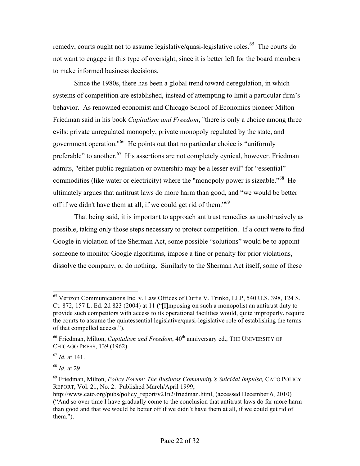remedy, courts ought not to assume legislative/quasi-legislative roles.<sup>65</sup> The courts do not want to engage in this type of oversight, since it is better left for the board members to make informed business decisions.

Since the 1980s, there has been a global trend toward deregulation, in which systems of competition are established, instead of attempting to limit a particular firm's behavior. As renowned economist and Chicago School of Economics pioneer Milton Friedman said in his book *Capitalism and Freedom*, "there is only a choice among three evils: private unregulated monopoly, private monopoly regulated by the state, and government operation."66 He points out that no particular choice is "uniformly preferable" to another.<sup>67</sup> His assertions are not completely cynical, however. Friedman admits, "either public regulation or ownership may be a lesser evil" for "essential" commodities (like water or electricity) where the "monopoly power is sizeable."<sup>68</sup> He ultimately argues that antitrust laws do more harm than good, and "we would be better off if we didn't have them at all, if we could get rid of them."<sup>69</sup>

That being said, it is important to approach antitrust remedies as unobtrusively as possible, taking only those steps necessary to protect competition. If a court were to find Google in violation of the Sherman Act, some possible "solutions" would be to appoint someone to monitor Google algorithms, impose a fine or penalty for prior violations, dissolve the company, or do nothing. Similarly to the Sherman Act itself, some of these

 <sup>65</sup> Verizon Communications Inc. v. Law Offices of Curtis V. Trinko, LLP, 540 U.S. 398, 124 S. Ct. 872, 157 L. Ed. 2d 823 (2004) at 11 ("[I]mposing on such a monopolist an antitrust duty to provide such competitors with access to its operational facilities would, quite improperly, require the courts to assume the quintessential legislative/quasi-legislative role of establishing the terms of that compelled access.").

 $^{66}$  Friedman, Milton, *Capitalism and Freedom*,  $40<sup>th</sup>$  anniversary ed., THE UNIVERSITY OF CHICAGO PRESS, 139 (1962).

<sup>67</sup> *Id.* at 141.

<sup>68</sup> *Id.* at 29.

<sup>69</sup> Friedman, Milton, *Policy Forum: The Business Community's Suicidal Impulse,* CATO POLICY REPORT, Vol. 21, No. 2. Published March/April 1999,

http://www.cato.org/pubs/policy\_report/v21n2/friedman.html, (accessed December 6, 2010) ("And so over time I have gradually come to the conclusion that antitrust laws do far more harm than good and that we would be better off if we didn't have them at all, if we could get rid of them.").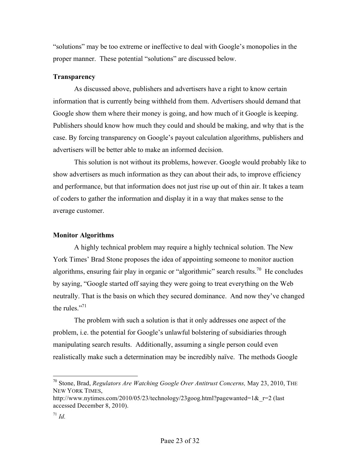"solutions" may be too extreme or ineffective to deal with Google's monopolies in the proper manner. These potential "solutions" are discussed below.

## **Transparency**

As discussed above, publishers and advertisers have a right to know certain information that is currently being withheld from them. Advertisers should demand that Google show them where their money is going, and how much of it Google is keeping. Publishers should know how much they could and should be making, and why that is the case. By forcing transparency on Google's payout calculation algorithms, publishers and advertisers will be better able to make an informed decision.

This solution is not without its problems, however. Google would probably like to show advertisers as much information as they can about their ads, to improve efficiency and performance, but that information does not just rise up out of thin air. It takes a team of coders to gather the information and display it in a way that makes sense to the average customer.

## **Monitor Algorithms**

A highly technical problem may require a highly technical solution. The New York Times' Brad Stone proposes the idea of appointing someone to monitor auction algorithms, ensuring fair play in organic or "algorithmic" search results.<sup>70</sup> He concludes by saying, "Google started off saying they were going to treat everything on the Web neutrally. That is the basis on which they secured dominance. And now they've changed the rules."71

The problem with such a solution is that it only addresses one aspect of the problem, i.e. the potential for Google's unlawful bolstering of subsidiaries through manipulating search results. Additionally, assuming a single person could even realistically make such a determination may be incredibly naïve. The methods Google

 70 Stone, Brad, *Regulators Are Watching Google Over Antitrust Concerns,* May 23, 2010, THE NEW YORK TIMES,

http://www.nytimes.com/2010/05/23/technology/23goog.html?pagewanted=1& r=2 (last accessed December 8, 2010).

 $^{71}$  *Id*.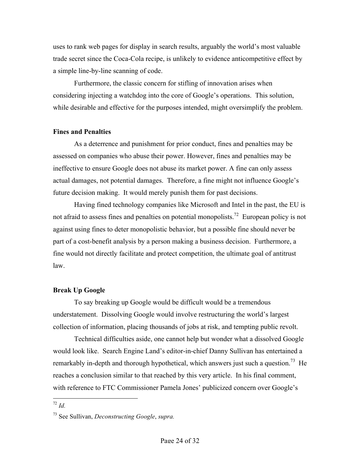uses to rank web pages for display in search results, arguably the world's most valuable trade secret since the Coca-Cola recipe, is unlikely to evidence anticompetitive effect by a simple line-by-line scanning of code.

Furthermore, the classic concern for stifling of innovation arises when considering injecting a watchdog into the core of Google's operations. This solution, while desirable and effective for the purposes intended, might oversimplify the problem.

#### **Fines and Penalties**

As a deterrence and punishment for prior conduct, fines and penalties may be assessed on companies who abuse their power. However, fines and penalties may be ineffective to ensure Google does not abuse its market power. A fine can only assess actual damages, not potential damages. Therefore, a fine might not influence Google's future decision making. It would merely punish them for past decisions.

Having fined technology companies like Microsoft and Intel in the past, the EU is not afraid to assess fines and penalties on potential monopolists.<sup>72</sup> European policy is not against using fines to deter monopolistic behavior, but a possible fine should never be part of a cost-benefit analysis by a person making a business decision. Furthermore, a fine would not directly facilitate and protect competition, the ultimate goal of antitrust law.

## **Break Up Google**

To say breaking up Google would be difficult would be a tremendous understatement. Dissolving Google would involve restructuring the world's largest collection of information, placing thousands of jobs at risk, and tempting public revolt.

Technical difficulties aside, one cannot help but wonder what a dissolved Google would look like. Search Engine Land's editor-in-chief Danny Sullivan has entertained a remarkably in-depth and thorough hypothetical, which answers just such a question.<sup>73</sup> He reaches a conclusion similar to that reached by this very article. In his final comment, with reference to FTC Commissioner Pamela Jones' publicized concern over Google's

<sup>72</sup> *Id.*

<sup>73</sup> See Sullivan, *Deconstructing Google*, *supra.*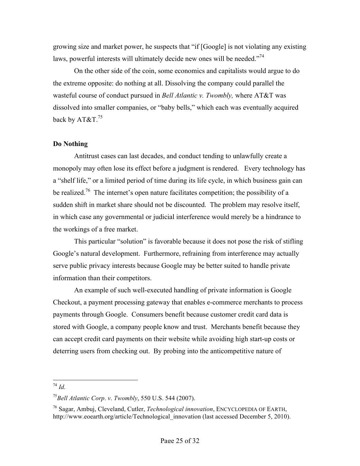growing size and market power, he suspects that "if [Google] is not violating any existing laws, powerful interests will ultimately decide new ones will be needed."<sup>74</sup>

On the other side of the coin, some economics and capitalists would argue to do the extreme opposite: do nothing at all. Dissolving the company could parallel the wasteful course of conduct pursued in *Bell Atlantic v. Twombly,* where AT&T was dissolved into smaller companies, or "baby bells," which each was eventually acquired back by  $AT&T.^{75}$ 

#### **Do Nothing**

Antitrust cases can last decades, and conduct tending to unlawfully create a monopoly may often lose its effect before a judgment is rendered. Every technology has a "shelf life," or a limited period of time during its life cycle, in which business gain can be realized.<sup>76</sup> The internet's open nature facilitates competition; the possibility of a sudden shift in market share should not be discounted. The problem may resolve itself, in which case any governmental or judicial interference would merely be a hindrance to the workings of a free market.

This particular "solution" is favorable because it does not pose the risk of stifling Google's natural development. Furthermore, refraining from interference may actually serve public privacy interests because Google may be better suited to handle private information than their competitors.

An example of such well-executed handling of private information is Google Checkout, a payment processing gateway that enables e-commerce merchants to process payments through Google. Consumers benefit because customer credit card data is stored with Google, a company people know and trust. Merchants benefit because they can accept credit card payments on their website while avoiding high start-up costs or deterring users from checking out. By probing into the anticompetitive nature of

 <sup>74</sup> *Id.*

<sup>75</sup>*Bell Atlantic Corp*. *v*. *Twombly*, 550 U.S. 544 (2007).

<sup>76</sup> Sagar, Ambuj, Cleveland, Cutler, *Technological innovation*, ENCYCLOPEDIA OF EARTH, http://www.eoearth.org/article/Technological\_innovation (last accessed December 5, 2010).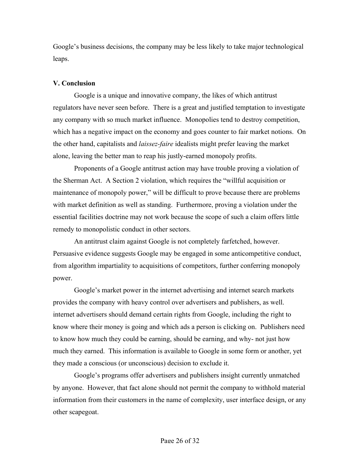Google's business decisions, the company may be less likely to take major technological leaps.

## **V. Conclusion**

Google is a unique and innovative company, the likes of which antitrust regulators have never seen before. There is a great and justified temptation to investigate any company with so much market influence. Monopolies tend to destroy competition, which has a negative impact on the economy and goes counter to fair market notions. On the other hand, capitalists and *laissez-faire* idealists might prefer leaving the market alone, leaving the better man to reap his justly-earned monopoly profits.

Proponents of a Google antitrust action may have trouble proving a violation of the Sherman Act. A Section 2 violation, which requires the "willful acquisition or maintenance of monopoly power," will be difficult to prove because there are problems with market definition as well as standing. Furthermore, proving a violation under the essential facilities doctrine may not work because the scope of such a claim offers little remedy to monopolistic conduct in other sectors.

An antitrust claim against Google is not completely farfetched, however. Persuasive evidence suggests Google may be engaged in some anticompetitive conduct, from algorithm impartiality to acquisitions of competitors, further conferring monopoly power.

Google's market power in the internet advertising and internet search markets provides the company with heavy control over advertisers and publishers, as well. internet advertisers should demand certain rights from Google, including the right to know where their money is going and which ads a person is clicking on. Publishers need to know how much they could be earning, should be earning, and why- not just how much they earned. This information is available to Google in some form or another, yet they made a conscious (or unconscious) decision to exclude it.

Google's programs offer advertisers and publishers insight currently unmatched by anyone. However, that fact alone should not permit the company to withhold material information from their customers in the name of complexity, user interface design, or any other scapegoat.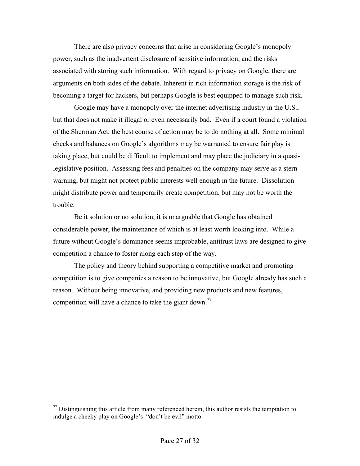There are also privacy concerns that arise in considering Google's monopoly power, such as the inadvertent disclosure of sensitive information, and the risks associated with storing such information. With regard to privacy on Google, there are arguments on both sides of the debate. Inherent in rich information storage is the risk of becoming a target for hackers, but perhaps Google is best equipped to manage such risk.

Google may have a monopoly over the internet advertising industry in the U.S., but that does not make it illegal or even necessarily bad. Even if a court found a violation of the Sherman Act, the best course of action may be to do nothing at all. Some minimal checks and balances on Google's algorithms may be warranted to ensure fair play is taking place, but could be difficult to implement and may place the judiciary in a quasilegislative position. Assessing fees and penalties on the company may serve as a stern warning, but might not protect public interests well enough in the future. Dissolution might distribute power and temporarily create competition, but may not be worth the trouble.

Be it solution or no solution, it is unarguable that Google has obtained considerable power, the maintenance of which is at least worth looking into. While a future without Google's dominance seems improbable, antitrust laws are designed to give competition a chance to foster along each step of the way.

The policy and theory behind supporting a competitive market and promoting competition is to give companies a reason to be innovative, but Google already has such a reason. Without being innovative, and providing new products and new features, competition will have a chance to take the giant down.<sup>77</sup>

 $77$  Distinguishing this article from many referenced herein, this author resists the temptation to indulge a cheeky play on Google's "don't be evil" motto.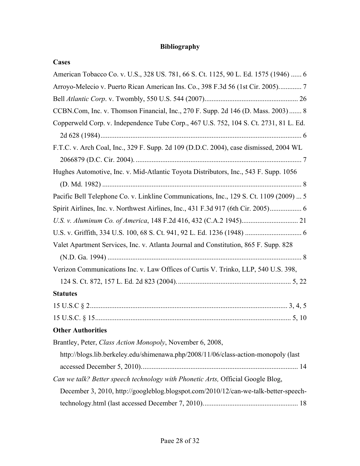# **Bibliography**

| Cases                                                                                  |
|----------------------------------------------------------------------------------------|
| American Tobacco Co. v. U.S., 328 US. 781, 66 S. Ct. 1125, 90 L. Ed. 1575 (1946)  6    |
| Arroyo-Melecio v. Puerto Rican American Ins. Co., 398 F.3d 56 (1st Cir. 2005)          |
|                                                                                        |
| CCBN.Com, Inc. v. Thomson Financial, Inc., 270 F. Supp. 2d 146 (D. Mass. 2003)  8      |
| Copperweld Corp. v. Independence Tube Corp., 467 U.S. 752, 104 S. Ct. 2731, 81 L. Ed.  |
|                                                                                        |
| F.T.C. v. Arch Coal, Inc., 329 F. Supp. 2d 109 (D.D.C. 2004), case dismissed, 2004 WL  |
|                                                                                        |
| Hughes Automotive, Inc. v. Mid-Atlantic Toyota Distributors, Inc., 543 F. Supp. 1056   |
|                                                                                        |
| Pacific Bell Telephone Co. v. Linkline Communications, Inc., 129 S. Ct. 1109 (2009)  5 |
| Spirit Airlines, Inc. v. Northwest Airlines, Inc., 431 F.3d 917 (6th Cir. 2005)        |
|                                                                                        |
|                                                                                        |
| Valet Apartment Services, Inc. v. Atlanta Journal and Constitution, 865 F. Supp. 828   |
|                                                                                        |
| Verizon Communications Inc. v. Law Offices of Curtis V. Trinko, LLP, 540 U.S. 398,     |
|                                                                                        |
| <b>Statutes</b>                                                                        |
|                                                                                        |
|                                                                                        |
| <b>Other Authorities</b>                                                               |
| Brantley, Peter, Class Action Monopoly, November 6, 2008,                              |
| http://blogs.lib.berkeley.edu/shimenawa.php/2008/11/06/class-action-monopoly (last     |
|                                                                                        |
| Can we talk? Better speech technology with Phonetic Arts, Official Google Blog,        |
| December 3, 2010, http://googleblog.blogspot.com/2010/12/can-we-talk-better-speech-    |
|                                                                                        |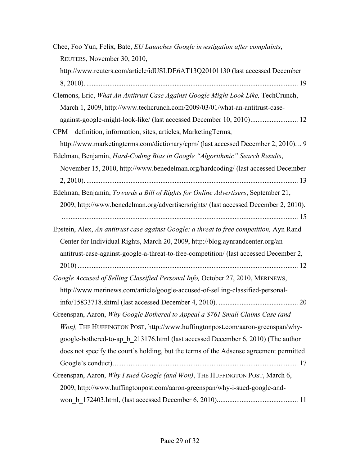| Chee, Foo Yun, Felix, Bate, EU Launches Google investigation after complaints,          |
|-----------------------------------------------------------------------------------------|
| REUTERS, November 30, 2010,                                                             |
| http://www.reuters.com/article/idUSLDE6AT13Q20101130 (last accessed December            |
|                                                                                         |
| Clemons, Eric, What An Antitrust Case Against Google Might Look Like, TechCrunch,       |
| March 1, 2009, http://www.techcrunch.com/2009/03/01/what-an-antitrust-case-             |
| against-google-might-look-like/ (last accessed December 10, 2010) 12                    |
| CPM - definition, information, sites, articles, MarketingTerms,                         |
| http://www.marketingterms.com/dictionary/cpm/ (last accessed December 2, 2010) 9        |
| Edelman, Benjamin, Hard-Coding Bias in Google "Algorithmic" Search Results,             |
| November 15, 2010, http://www.benedelman.org/hardcoding/ (last accessed December        |
|                                                                                         |
| Edelman, Benjamin, Towards a Bill of Rights for Online Advertisers, September 21,       |
| 2009, http://www.benedelman.org/advertisersrights/ (last accessed December 2, 2010).    |
|                                                                                         |
| Epstein, Alex, An antitrust case against Google: a threat to free competition, Ayn Rand |
| Center for Individual Rights, March 20, 2009, http://blog.aynrandcenter.org/an-         |
| antitrust-case-against-google-a-threat-to-free-competition/ (last accessed December 2,  |
|                                                                                         |
| Google Accused of Selling Classified Personal Info, October 27, 2010, MERINEWS,         |
| http://www.merinews.com/article/google-accused-of-selling-classified-personal-          |
|                                                                                         |
| Greenspan, Aaron, Why Google Bothered to Appeal a \$761 Small Claims Case (and          |
| Won), THE HUFFINGTON POST, http://www.huffingtonpost.com/aaron-greenspan/why-           |
| google-bothered-to-ap b 213176.html (last accessed December 6, 2010) (The author        |
| does not specify the court's holding, but the terms of the Adsense agreement permitted  |
|                                                                                         |
| Greenspan, Aaron, Why I sued Google (and Won), THE HUFFINGTON POST, March 6,            |
| 2009, http://www.huffingtonpost.com/aaron-greenspan/why-i-sued-google-and-              |
|                                                                                         |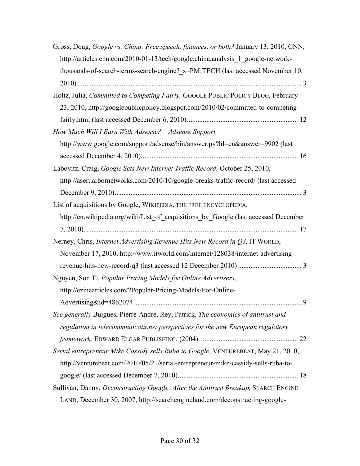| Gross, Doug, Google vs. China: Free speech, finances, or both? January 13, 2010, CNN, |
|---------------------------------------------------------------------------------------|
| http://articles.cnn.com/2010-01-13/tech/google.china.analysis_1_google-network-       |
| thousands-of-search-terms-search-engine?_s=PM:TECH (last accessed November 10,        |
|                                                                                       |
| Holtz, Julia, Committed to Competing Fairly, GOOGLE PUBLIC POLICY BLOG, February      |
| 23, 2010, http://googlepublicpolicy.blogspot.com/2010/02/committed-to-competing-      |
|                                                                                       |
| How Much Will I Earn With Adsense? - Adsense Support,                                 |
| http://www.google.com/support/adsense/bin/answer.py?hl=en&answer=9902 (last           |
|                                                                                       |
| Labovitz, Craig, Google Sets New Internet Traffic Record, October 25, 2010,           |
| http://asert.arbornetworks.com/2010/10/google-breaks-traffic-record/ (last accessed   |
|                                                                                       |
| List of acquisitions by Google, WIKIPEDIA, THE FREE ENCYCLOPEDIA,                     |
| http://en.wikipedia.org/wiki/List_of_acquisitions_by_Google (last accessed December   |
|                                                                                       |
|                                                                                       |
| Nerney, Chris, Internet Advertising Revenue Hits New Record in Q3, IT WORLD,          |
| November 17, 2010, http://www.itworld.com/internet/128038/internet-advertising-       |
|                                                                                       |
| Nguyen, Son T., Popular Pricing Models for Online Advertisers,                        |
| http://ezinearticles.com/?Popular-Pricing-Models-For-Online-                          |
|                                                                                       |
| See generally Buigues, Pierre-André, Rey, Patrick, The economics of antitrust and     |
| regulation in telecommunications: perspectives for the new European regulatory        |
|                                                                                       |
| Serial entrepreneur Mike Cassidy sells Ruba to Google, VENTUREBEAT, May 21, 2010,     |
| http://venturebeat.com/2010/05/21/serial-entrepreneur-mike-cassidy-sells-ruba-to-     |
|                                                                                       |
| Sullivan, Danny, Deconstructing Google: After the Antitrust Breakup, SEARCH ENGINE    |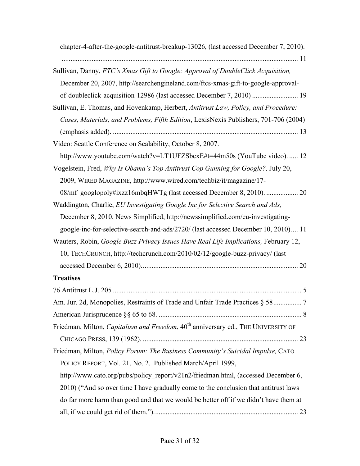| chapter-4-after-the-google-antitrust-breakup-13026, (last accessed December 7, 2010).         |
|-----------------------------------------------------------------------------------------------|
| Sullivan, Danny, FTC's Xmas Gift to Google: Approval of DoubleClick Acquisition,              |
| December 20, 2007, http://searchengineland.com/ftcs-xmas-gift-to-google-approval-             |
| of-doubleclick-acquisition-12986 (last accessed December 7, 2010)  19                         |
| Sullivan, E. Thomas, and Hovenkamp, Herbert, Antitrust Law, Policy, and Procedure:            |
| Cases, Materials, and Problems, Fifth Edition, LexisNexis Publishers, 701-706 (2004)          |
|                                                                                               |
| Video: Seattle Conference on Scalability, October 8, 2007.                                    |
| http://www.youtube.com/watch?v=LT1UFZSbcxE#t=44m50s (YouTube video).  12                      |
| Vogelstein, Fred, Why Is Obama's Top Antitrust Cop Gunning for Google?, July 20,              |
| 2009, WIRED MAGAZINE, http://www.wired.com/techbiz/it/magazine/17-                            |
| 08/mf_googlopoly#ixzz16mbqHWTg (last accessed December 8, 2010).  20                          |
| Waddington, Charlie, EU Investigating Google Inc for Selective Search and Ads,                |
| December 8, 2010, News Simplified, http://newssimplified.com/eu-investigating-                |
| google-inc-for-selective-search-and-ads/2720/ (last accessed December 10, 2010) 11            |
| Wauters, Robin, Google Buzz Privacy Issues Have Real Life Implications, February 12,          |
| 10, TECHCRUNCH, http://techcrunch.com/2010/02/12/google-buzz-privacy/ (last                   |
|                                                                                               |
| <b>Treatises</b>                                                                              |
|                                                                                               |
|                                                                                               |
|                                                                                               |
| Friedman, Milton, Capitalism and Freedom, 40 <sup>th</sup> anniversary ed., THE UNIVERSITY OF |
|                                                                                               |
| Friedman, Milton, Policy Forum: The Business Community's Suicidal Impulse, CATO               |
| POLICY REPORT, Vol. 21, No. 2. Published March/April 1999,                                    |
| http://www.cato.org/pubs/policy_report/v21n2/friedman.html, (accessed December 6,             |
| 2010) ("And so over time I have gradually come to the conclusion that antitrust laws          |
| do far more harm than good and that we would be better off if we didn't have them at          |
|                                                                                               |
|                                                                                               |